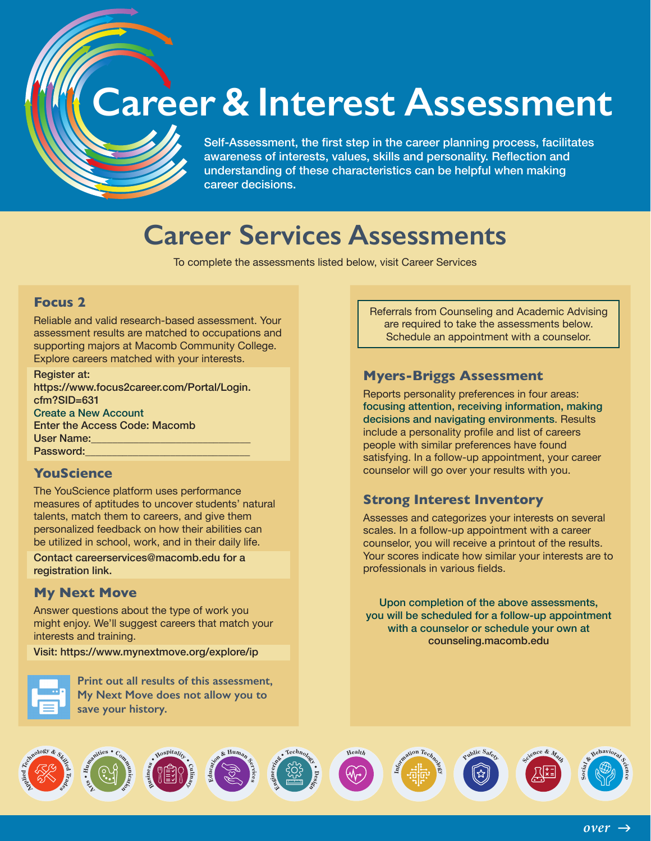## **Career & Interest Assessment**

Self-Assessment, the first step in the career planning process, facilitates awareness of interests, values, skills and personality. Reflection and understanding of these characteristics can be helpful when making career decisions.

### **Career Services Assessments**

To complete the assessments listed below, visit Career Services

#### **Focus 2**

Reliable and valid research-based assessment. Your assessment results are matched to occupations and supporting majors at Macomb Community College. Explore careers matched with your interests.

Register at: [https://www.focus2career.com/Portal/Login.](https://www.focus2career.com/Portal/Login.cfm?SID=631) [cfm?SID=631](https://www.focus2career.com/Portal/Login.cfm?SID=631) Create a New Account Enter the Access Code: Macomb User Name:\_\_\_\_\_\_\_\_\_\_\_\_\_\_\_\_\_\_\_\_\_\_\_\_\_\_\_\_\_\_ Password:

#### **YouScience**

The YouScience platform uses performance measures of aptitudes to uncover students' natural talents, match them to careers, and give them personalized feedback on how their abilities can be utilized in school, work, and in their daily life.

Contact [careerservices@macomb.edu](mailto:careerservices%40macomb.edu?subject=) for a registration link.

#### **My Next Move**

Answer questions about the type of work you might enjoy. We'll suggest careers that match your interests and training.

Visit: https:/[/www.mynextmove.org/explore/ip](http://www.mynextmove.org/explore/ip)



**Print out all results of this assessment, My Next Move does not allow you to save your history.**

Referrals from Counseling and Academic Advising are required to take the assessments below. Schedule an appointment with a counselor.

#### **Myers-Briggs Assessment**

Reports personality preferences in four areas: focusing attention, receiving information, making decisions and navigating environments. Results include a personality profile and list of careers people with similar preferences have found satisfying. In a follow-up appointment, your career counselor will go over your results with you.

#### **Strong Interest Inventory**

Assesses and categorizes your interests on several scales. In a follow-up appointment with a career counselor, you will receive a printout of the results. Your scores indicate how similar your interests are to professionals in various fields.

Upon completion of the above assessments, you will be scheduled for a follow-up appointment with a counselor or schedule your own at [counseling.macomb.edu](http://counseling.macomb.edu)